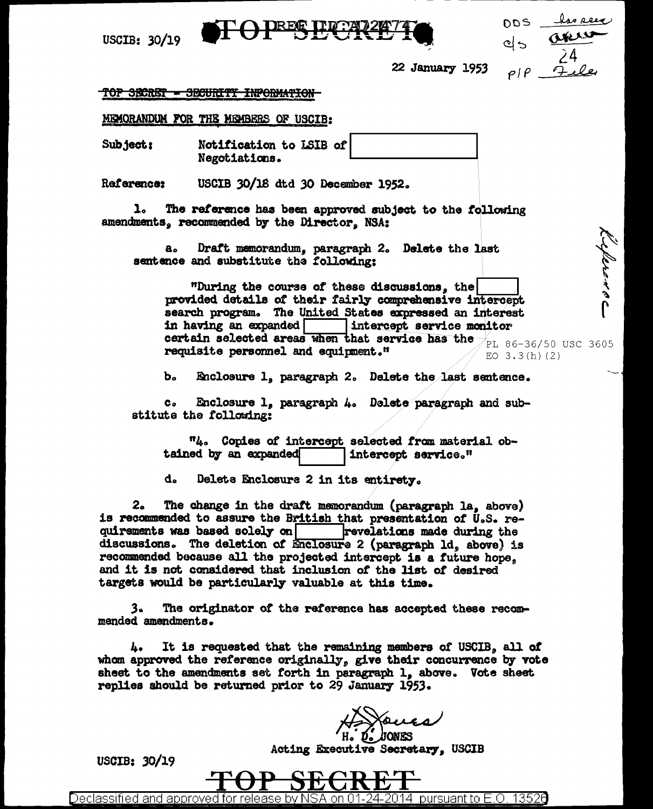

USCIB:  $30/19$ 

| 205 | <u>las seu</u> |
|-----|----------------|
| 먹٥  | ans            |
|     | $\tilde{Z}$ 4  |
| P   | <u> جھد 7</u>  |

22 January 1953

#### TOP SECRET - SECURITY INPORMATION-

MEMORANDUM FOR THE MEMBERS OF USCIB:

Notification to LSIB of **Subject:** Negotiations.

Reference: USCIB 30/18 dtd 30 December 1952.

 $\mathbf{1}_{\alpha}$ The reference has been approved subject to the following amendments. recommended by the Director. NSA:

Draft memorandum, paragraph 2. Delete the last а. sentence and substitute the following:

لأرو بالدور بو ه "During the course of these discussions, the provided details of their fairly comprehensive intercept search program. The United States expressed an interest in having an expanded intercept service monitor certain selected areas when that service has the  $\rm{PL}$  86-36/50 USC 3605 requisite personnel and equipment." EO  $3.3(h)(2)$ 

Ъ. Enclosure 1, paragraph 2. Delete the last sentence.

 $c<sub>o</sub>$ Enclosure 1, paragraph 4. Delete paragraph and substitute the following:

"4. Copies of intercept selected from material obtained by an expanded intercept service."

d. Delete Enclosure 2 in its entirety.

 $2<sub>o</sub>$ The change in the draft memorandum (paragraph la, above) is recommended to assure the British that presentation of U.S. requirements was based solely on revelations made during the discussions. The deletion of Enclosure 2 (paragraph ld, above) is recommended because all the projected intercept is a future hope, and it is not considered that inclusion of the list of desired targets would be particularly valuable at this time.

3. The originator of the reference has accepted these recommended amendments.

It is requested that the remaining members of USCIB, all of **L.** whom approved the reference originally, give their concurrence by vote sheet to the amendments set forth in paragraph 1, above. Vote sheet replies should be returned prior to 29 January 1953.

Acting Executive Secretary, USCIB

USCIB: 30/19



Declassified and approved for release by NSA on 01-24-2014  $\,$  pursuant to E.O. 1352 $0$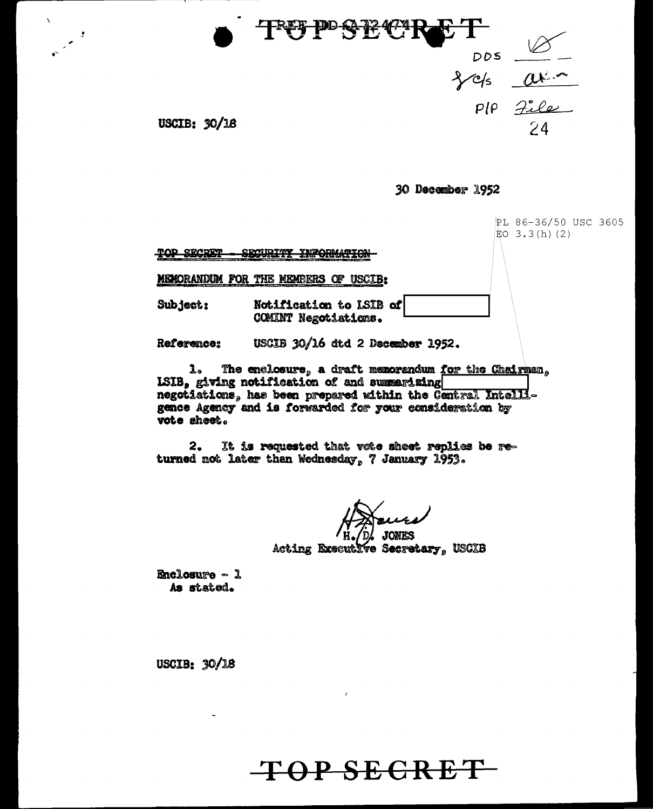

30 December 1952

|                                   |                                                                                                                                                                                                                                                              | PL 86-36/50 USC 3605<br> EO 3.3(h)(2) |  |
|-----------------------------------|--------------------------------------------------------------------------------------------------------------------------------------------------------------------------------------------------------------------------------------------------------------|---------------------------------------|--|
| RAD CRADEM                        | COMIDIAN THRODHAMION<br><b>Read of the company's company of the company of the company of the company of the company of the company of the company of the company of the company of the company of the company of the company of the company of the comp</b> |                                       |  |
| <b>MEMORANDUM FOR THE MEMBERS</b> | <b>USCIB:</b><br>œ                                                                                                                                                                                                                                           |                                       |  |
| Subject:                          | Notification to LSIB of<br>COMINT Negotiations.                                                                                                                                                                                                              |                                       |  |
| Reference:                        | USCIB 30/16 dtd 2 December 1952.                                                                                                                                                                                                                             |                                       |  |

The enclosure, a draft memorandum for the Chairman.  $\mathbf{r}$ ISIB, giving notification of and summarizing negotiations, has been prepared within the Central Intelligence Agency and is forwarded for your consideration by vote sheet.

2. It is requested that vote sheet replies be returned not later than Wednesday, 7 January 1953.

**JONES** 

Acting Executive Secretary, USCIB

Enclosure - 1 As stated.

 $\bar{\mathbf{v}}$ 

USCIB: 30/18

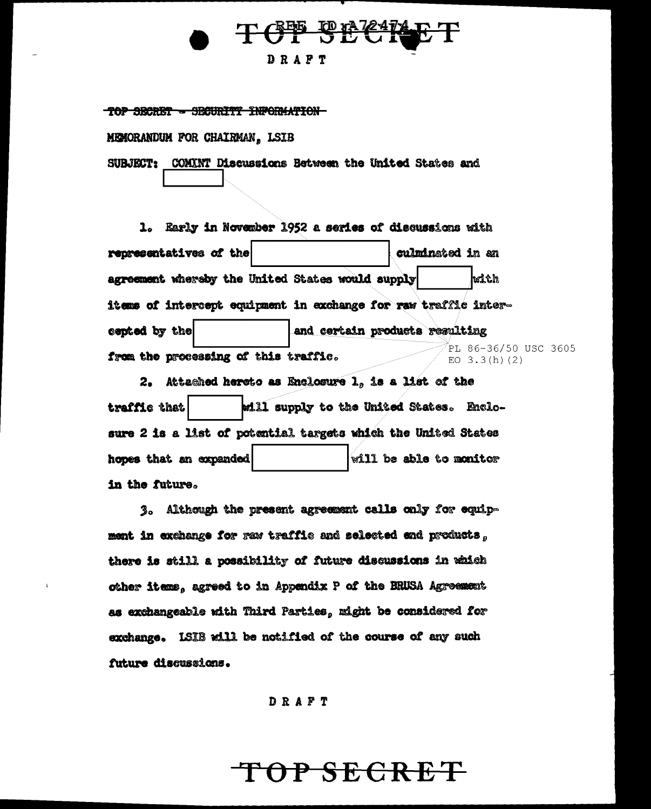### TCT SEC DRAFT

TOP SECRET - SECURITY INFORMATION

**MEMORANDUM FOR CHAIRMAN, LSIB** 

SUBJECT: COMINT Discussions Between the United States and

1. Early in November 1952 a series of discussions with representatives of the culminated in an agreement whereby the United States would supply with items of intercept equipment in exchange for raw traffic intercepted by the and certain products resulting PL 86-36/50 USC 3605 from the processing of this traffic. EO  $3.3(h)$  (2)

2. Attached hereto as Enclosure 1, is a list of the will supply to the United States. Enclotraffic that sure 2 is a list of potential targets which the United States will be able to monitor hopes that an expanded in the future.

3. Although the present agreement calls only for equipment in exchange for raw traffic and selected and products, there is still a possibility of future discussions in which other items, agreed to in Appendix P of the BRUSA Agreement as exchangeable with Third Parties, might be considered for exchange. ISIB will be notified of the course of any such future discussions.

DRAFT

## OP SECRET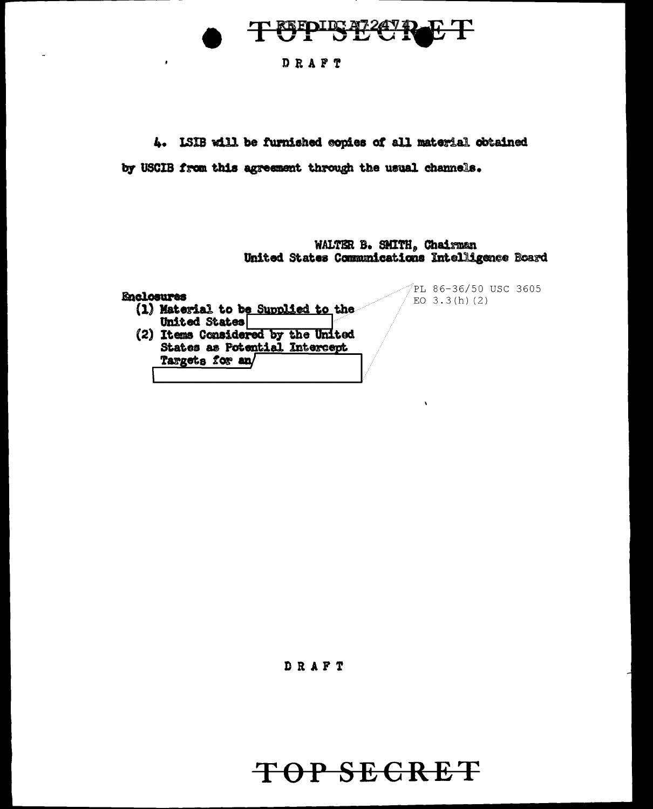

#### DRAFT

4. ISIB will be furnished copies of all material obtained

by USCIB from this agreement through the usual channels.

WALTER B. SMITH, Chairman United States Communications Intelligence Board

#### **Enclosures**

 $\ddot{\bullet}$ 

- (1) Material to be Supplied to the United States
- (2) Items Considered by the United States as Potential Intercept Targets for an

PL 86-36/50 USC 3605 EO  $3.3(h)$  (2)

DRAFT

## TOP SECRET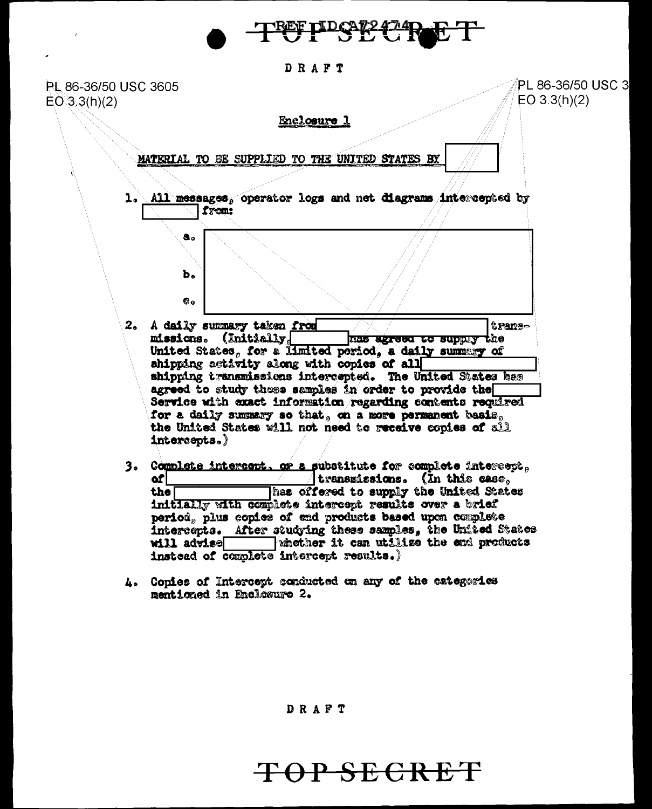

DRAFT

PL 86-36/50 USC 3 PL 86-36/50 USC 3605  $EO 3.3(h)(2)$  $EO(3.3(h)(2)$ Enclosure 1 MATERIAL TO BE SUPPLIED TO THE UNITED STATES BY 1. All messages. operator logs and net diagrams intercepted by from:  $\mathbf{a}$  $\mathbf{b}$  $\mathbf{e}_o$ 2. A daily summary taken from transmissions. (Initially, mas agreed to supply the United States, for a limited period, a daily summary of shipping activity along with copies of all shipping transmissions intercepted. The United States has agreed to study these samples in order to provide the Service with exact information regarding contents required for a daily summary so that, on a more permanent basis, the United States will not need to receive copies of all  $intersents.$ 3. Complete intercept, or a substitute for complete intercept,  $\,$ i transmissions. (In this case,  $\,$ of | Thas offered to supply the United States the initially with complete intercept results over a brief period, plus copies of end products based upon complete intercepts. After studying these samples, the United States whether it can utilize the end products will advise

> L. Conies of Intercept conducted on any of the categories mentioned in Enclosure 2.

instead of complete intercept results.)

DRAFT

## TOP SECRET